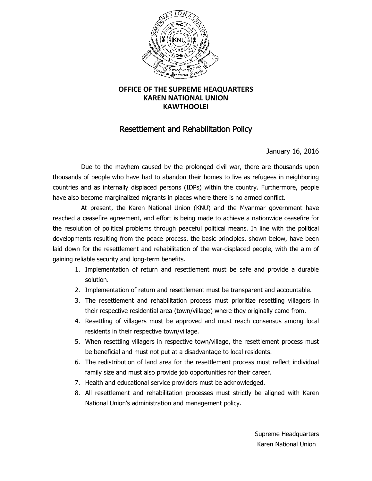

## **OFFICE OF THE SUPREME HEAQUARTERS KAREN NATIONAL UNION KAWTHOOLEI**

## Resettlement and Rehabilitation Policy

January 16, 2016

Due to the mayhem caused by the prolonged civil war, there are thousands upon thousands of people who have had to abandon their homes to live as refugees in neighboring countries and as internally displaced persons (IDPs) within the country. Furthermore, people have also become marginalized migrants in places where there is no armed conflict.

At present, the Karen National Union (KNU) and the Myanmar government have reached a ceasefire agreement, and effort is being made to achieve a nationwide ceasefire for the resolution of political problems through peaceful political means. In line with the political developments resulting from the peace process, the basic principles, shown below, have been laid down for the resettlement and rehabilitation of the war-displaced people, with the aim of gaining reliable security and long-term benefits.

- 1. Implementation of return and resettlement must be safe and provide a durable solution.
- 2. Implementation of return and resettlement must be transparent and accountable.
- 3. The resettlement and rehabilitation process must prioritize resettling villagers in their respective residential area (town/village) where they originally came from.
- 4. Resettling of villagers must be approved and must reach consensus among local residents in their respective town/village.
- 5. When resettling villagers in respective town/village, the resettlement process must be beneficial and must not put at a disadvantage to local residents.
- 6. The redistribution of land area for the resettlement process must reflect individual family size and must also provide job opportunities for their career.
- 7. Health and educational service providers must be acknowledged.
- 8. All resettlement and rehabilitation processes must strictly be aligned with Karen National Union's administration and management policy.